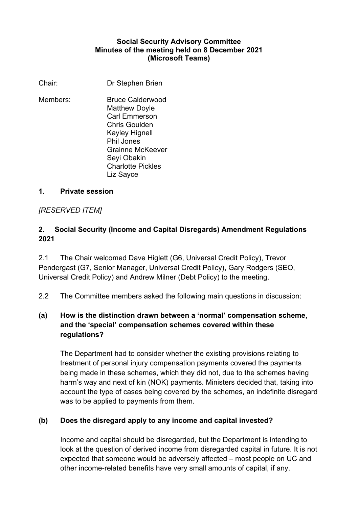#### **Social Security Advisory Committee Minutes of the meeting held on 8 December 2021 (Microsoft Teams)**

Chair: Dr Stephen Brien

Members: Bruce Calderwood Matthew Doyle Carl Emmerson Chris Goulden Kayley Hignell Phil Jones Grainne McKeever Seyi Obakin Charlotte Pickles Liz Sayce

#### **1. Private session**

## *[RESERVED ITEM]*

## **2. Social Security (Income and Capital Disregards) Amendment Regulations 2021**

2.1 The Chair welcomed Dave Higlett (G6, Universal Credit Policy), Trevor Pendergast (G7, Senior Manager, Universal Credit Policy), Gary Rodgers (SEO, Universal Credit Policy) and Andrew Milner (Debt Policy) to the meeting.

2.2 The Committee members asked the following main questions in discussion:

## **(a) How is the distinction drawn between a 'normal' compensation scheme, and the 'special' compensation schemes covered within these regulations?**

The Department had to consider whether the existing provisions relating to treatment of personal injury compensation payments covered the payments being made in these schemes, which they did not, due to the schemes having harm's way and next of kin (NOK) payments. Ministers decided that, taking into account the type of cases being covered by the schemes, an indefinite disregard was to be applied to payments from them.

## **(b) Does the disregard apply to any income and capital invested?**

Income and capital should be disregarded, but the Department is intending to look at the question of derived income from disregarded capital in future. It is not expected that someone would be adversely affected – most people on UC and other income-related benefits have very small amounts of capital, if any.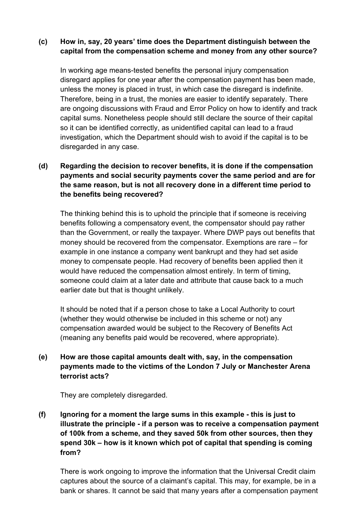#### **(c) How in, say, 20 years' time does the Department distinguish between the capital from the compensation scheme and money from any other source?**

In working age means-tested benefits the personal injury compensation disregard applies for one year after the compensation payment has been made, unless the money is placed in trust, in which case the disregard is indefinite. Therefore, being in a trust, the monies are easier to identify separately. There are ongoing discussions with Fraud and Error Policy on how to identify and track capital sums. Nonetheless people should still declare the source of their capital so it can be identified correctly, as unidentified capital can lead to a fraud investigation, which the Department should wish to avoid if the capital is to be disregarded in any case.

## **(d) Regarding the decision to recover benefits, it is done if the compensation payments and social security payments cover the same period and are for the same reason, but is not all recovery done in a different time period to the benefits being recovered?**

The thinking behind this is to uphold the principle that if someone is receiving benefits following a compensatory event, the compensator should pay rather than the Government, or really the taxpayer. Where DWP pays out benefits that money should be recovered from the compensator. Exemptions are rare – for example in one instance a company went bankrupt and they had set aside money to compensate people. Had recovery of benefits been applied then it would have reduced the compensation almost entirely. In term of timing, someone could claim at a later date and attribute that cause back to a much earlier date but that is thought unlikely.

It should be noted that if a person chose to take a Local Authority to court (whether they would otherwise be included in this scheme or not) any compensation awarded would be subject to the Recovery of Benefits Act (meaning any benefits paid would be recovered, where appropriate).

## **(e) How are those capital amounts dealt with, say, in the compensation payments made to the victims of the London 7 July or Manchester Arena terrorist acts?**

They are completely disregarded.

**(f) Ignoring for a moment the large sums in this example - this is just to illustrate the principle - if a person was to receive a compensation payment of 100k from a scheme, and they saved 50k from other sources, then they spend 30k – how is it known which pot of capital that spending is coming from?** 

There is work ongoing to improve the information that the Universal Credit claim captures about the source of a claimant's capital. This may, for example, be in a bank or shares. It cannot be said that many years after a compensation payment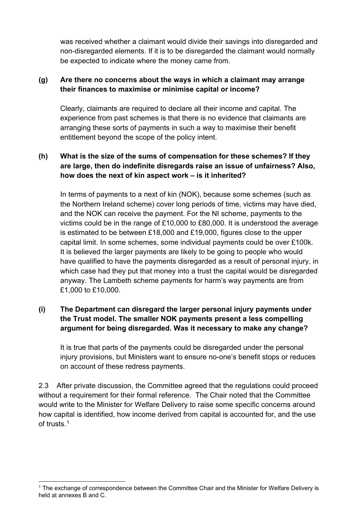was received whether a claimant would divide their savings into disregarded and non-disregarded elements. If it is to be disregarded the claimant would normally be expected to indicate where the money came from.

## **(g) Are there no concerns about the ways in which a claimant may arrange their finances to maximise or minimise capital or income?**

Clearly, claimants are required to declare all their income and capital. The experience from past schemes is that there is no evidence that claimants are arranging these sorts of payments in such a way to maximise their benefit entitlement beyond the scope of the policy intent.

## **(h) What is the size of the sums of compensation for these schemes? If they are large, then do indefinite disregards raise an issue of unfairness? Also, how does the next of kin aspect work – is it inherited?**

In terms of payments to a next of kin (NOK), because some schemes (such as the Northern Ireland scheme) cover long periods of time, victims may have died, and the NOK can receive the payment. For the NI scheme, payments to the victims could be in the range of £10,000 to £80,000. It is understood the average is estimated to be between £18,000 and £19,000, figures close to the upper capital limit. In some schemes, some individual payments could be over £100k. It is believed the larger payments are likely to be going to people who would have qualified to have the payments disregarded as a result of personal injury, in which case had they put that money into a trust the capital would be disregarded anyway. The Lambeth scheme payments for harm's way payments are from £1,000 to £10,000.

## **(i) The Department can disregard the larger personal injury payments under the Trust model. The smaller NOK payments present a less compelling argument for being disregarded. Was it necessary to make any change?**

It is true that parts of the payments could be disregarded under the personal injury provisions, but Ministers want to ensure no-one's benefit stops or reduces on account of these redress payments.

2.3 After private discussion, the Committee agreed that the regulations could proceed without a requirement for their formal reference. The Chair noted that the Committee would write to the Minister for Welfare Delivery to raise some specific concerns around how capital is identified, how income derived from capital is accounted for, and the use of trusts<sup>1</sup>

<span id="page-2-0"></span><sup>&</sup>lt;sup>1</sup> The exchange of correspondence between the Committee Chair and the Minister for Welfare Delivery is held at annexes B and C.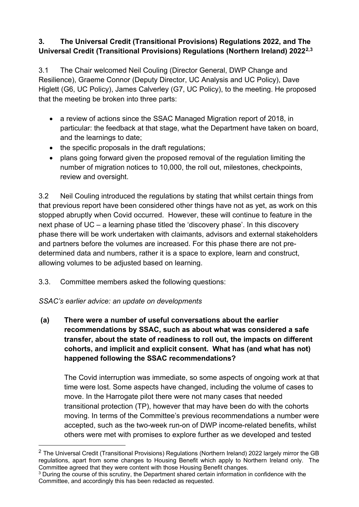## **3***.* **The Universal Credit (Transitional Provisions) Regulations 2022, and The Universal Credit (Transitional Provisions) Regulations (Northern Ireland) 2022[2,](#page-3-0)[3](#page-3-1)**

3.1 The Chair welcomed Neil Couling (Director General, DWP Change and Resilience), Graeme Connor (Deputy Director, UC Analysis and UC Policy), Dave Higlett (G6, UC Policy), James Calverley (G7, UC Policy), to the meeting. He proposed that the meeting be broken into three parts:

- a review of actions since the SSAC Managed Migration report of 2018, in particular: the feedback at that stage, what the Department have taken on board, and the learnings to date;
- the specific proposals in the draft regulations;
- plans going forward given the proposed removal of the regulation limiting the number of migration notices to 10,000, the roll out, milestones, checkpoints, review and oversight.

3.2 Neil Couling introduced the regulations by stating that whilst certain things from that previous report have been considered other things have not as yet, as work on this stopped abruptly when Covid occurred. However, these will continue to feature in the next phase of UC – a learning phase titled the 'discovery phase'. In this discovery phase there will be work undertaken with claimants, advisors and external stakeholders and partners before the volumes are increased. For this phase there are not predetermined data and numbers, rather it is a space to explore, learn and construct, allowing volumes to be adjusted based on learning.

- 3.3. Committee members asked the following questions:
- *SSAC's earlier advice: an update on developments*
- **(a) There were a number of useful conversations about the earlier recommendations by SSAC, such as about what was considered a safe transfer, about the state of readiness to roll out, the impacts on different cohorts, and implicit and explicit consent. What has (and what has not) happened following the SSAC recommendations?**

The Covid interruption was immediate, so some aspects of ongoing work at that time were lost. Some aspects have changed, including the volume of cases to move. In the Harrogate pilot there were not many cases that needed transitional protection (TP), however that may have been do with the cohorts moving. In terms of the Committee's previous recommendations a number were accepted, such as the two-week run-on of DWP income-related benefits, whilst others were met with promises to explore further as we developed and tested

<span id="page-3-0"></span><sup>&</sup>lt;sup>2</sup> The Universal Credit (Transitional Provisions) Regulations (Northern Ireland) 2022 largely mirror the GB regulations, apart from some changes to Housing Benefit which apply to Northern Ireland only. The Committee agreed that they were content with those Housing Benefit changes.

<span id="page-3-1"></span> $3$  During the course of this scrutiny, the Department shared certain information in confidence with the Committee, and accordingly this has been redacted as requested.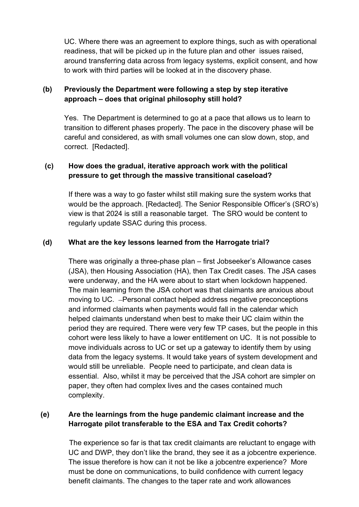UC. Where there was an agreement to explore things, such as with operational readiness, that will be picked up in the future plan and other issues raised, around transferring data across from legacy systems, explicit consent, and how to work with third parties will be looked at in the discovery phase.

## **(b) Previously the Department were following a step by step iterative approach – does that original philosophy still hold?**

Yes. The Department is determined to go at a pace that allows us to learn to transition to different phases properly. The pace in the discovery phase will be careful and considered, as with small volumes one can slow down, stop, and correct. [Redacted].

### **(c) How does the gradual, iterative approach work with the political pressure to get through the massive transitional caseload?**

If there was a way to go faster whilst still making sure the system works that would be the approach. [Redacted]. The Senior Responsible Officer's (SRO's) view is that 2024 is still a reasonable target. The SRO would be content to regularly update SSAC during this process.

### **(d) What are the key lessons learned from the Harrogate trial?**

There was originally a three-phase plan – first Jobseeker's Allowance cases (JSA), then Housing Association (HA), then Tax Credit cases. The JSA cases were underway, and the HA were about to start when lockdown happened. The main learning from the JSA cohort was that claimants are anxious about moving to UC. - Personal contact helped address negative preconceptions and informed claimants when payments would fall in the calendar which helped claimants understand when best to make their UC claim within the period they are required. There were very few TP cases, but the people in this cohort were less likely to have a lower entitlement on UC. It is not possible to move individuals across to UC or set up a gateway to identify them by using data from the legacy systems. It would take years of system development and would still be unreliable. People need to participate, and clean data is essential. Also, whilst it may be perceived that the JSA cohort are simpler on paper, they often had complex lives and the cases contained much complexity.

### **(e) Are the learnings from the huge pandemic claimant increase and the Harrogate pilot transferable to the ESA and Tax Credit cohorts?**

The experience so far is that tax credit claimants are reluctant to engage with UC and DWP, they don't like the brand, they see it as a jobcentre experience. The issue therefore is how can it not be like a jobcentre experience? More must be done on communications, to build confidence with current legacy benefit claimants. The changes to the taper rate and work allowances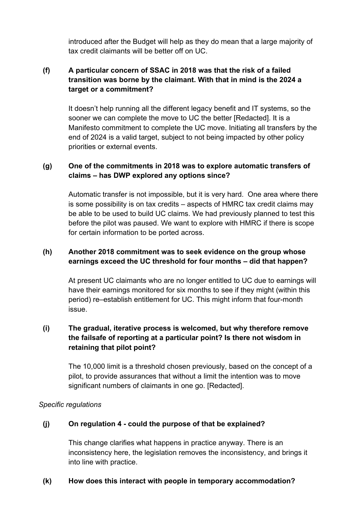introduced after the Budget will help as they do mean that a large majority of tax credit claimants will be better off on UC.

## **(f) A particular concern of SSAC in 2018 was that the risk of a failed transition was borne by the claimant. With that in mind is the 2024 a target or a commitment?**

It doesn't help running all the different legacy benefit and IT systems, so the sooner we can complete the move to UC the better [Redacted]. It is a Manifesto commitment to complete the UC move. Initiating all transfers by the end of 2024 is a valid target, subject to not being impacted by other policy priorities or external events.

#### **(g) One of the commitments in 2018 was to explore automatic transfers of claims – has DWP explored any options since?**

Automatic transfer is not impossible, but it is very hard. One area where there is some possibility is on tax credits – aspects of HMRC tax credit claims may be able to be used to build UC claims. We had previously planned to test this before the pilot was paused. We want to explore with HMRC if there is scope for certain information to be ported across.

### **(h) Another 2018 commitment was to seek evidence on the group whose earnings exceed the UC threshold for four months – did that happen?**

At present UC claimants who are no longer entitled to UC due to earnings will have their earnings monitored for six months to see if they might (within this period) re–establish entitlement for UC. This might inform that four-month issue.

## **(i) The gradual, iterative process is welcomed, but why therefore remove the failsafe of reporting at a particular point? Is there not wisdom in retaining that pilot point?**

The 10,000 limit is a threshold chosen previously, based on the concept of a pilot, to provide assurances that without a limit the intention was to move significant numbers of claimants in one go. [Redacted].

#### *Specific regulations*

#### **(j) On regulation 4 - could the purpose of that be explained?**

This change clarifies what happens in practice anyway. There is an inconsistency here, the legislation removes the inconsistency, and brings it into line with practice.

#### **(k) How does this interact with people in temporary accommodation?**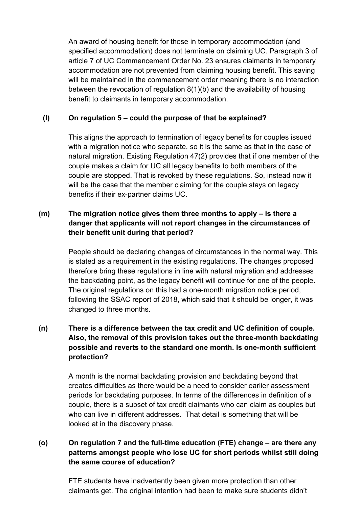An award of housing benefit for those in temporary accommodation (and specified accommodation) does not terminate on claiming UC. Paragraph 3 of article 7 of UC Commencement Order No. 23 ensures claimants in temporary accommodation are not prevented from claiming housing benefit. This saving will be maintained in the commencement order meaning there is no interaction between the revocation of regulation 8(1)(b) and the availability of housing benefit to claimants in temporary accommodation.

### **(l) On regulation 5 – could the purpose of that be explained?**

This aligns the approach to termination of legacy benefits for couples issued with a migration notice who separate, so it is the same as that in the case of natural migration. Existing Regulation 47(2) provides that if one member of the couple makes a claim for UC all legacy benefits to both members of the couple are stopped. That is revoked by these regulations. So, instead now it will be the case that the member claiming for the couple stays on legacy benefits if their ex-partner claims UC.

## **(m) The migration notice gives them three months to apply – is there a danger that applicants will not report changes in the circumstances of their benefit unit during that period?**

People should be declaring changes of circumstances in the normal way. This is stated as a requirement in the existing regulations. The changes proposed therefore bring these regulations in line with natural migration and addresses the backdating point, as the legacy benefit will continue for one of the people. The original regulations on this had a one-month migration notice period, following the SSAC report of 2018, which said that it should be longer, it was changed to three months.

## **(n) There is a difference between the tax credit and UC definition of couple. Also, the removal of this provision takes out the three-month backdating possible and reverts to the standard one month. Is one-month sufficient protection?**

A month is the normal backdating provision and backdating beyond that creates difficulties as there would be a need to consider earlier assessment periods for backdating purposes. In terms of the differences in definition of a couple, there is a subset of tax credit claimants who can claim as couples but who can live in different addresses. That detail is something that will be looked at in the discovery phase.

## **(o) On regulation 7 and the full-time education (FTE) change – are there any patterns amongst people who lose UC for short periods whilst still doing the same course of education?**

FTE students have inadvertently been given more protection than other claimants get. The original intention had been to make sure students didn't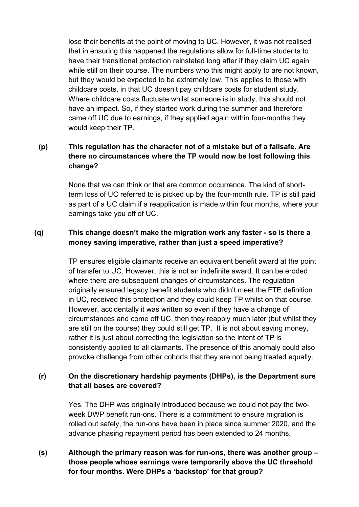lose their benefits at the point of moving to UC. However, it was not realised that in ensuring this happened the regulations allow for full-time students to have their transitional protection reinstated long after if they claim UC again while still on their course. The numbers who this might apply to are not known, but they would be expected to be extremely low. This applies to those with childcare costs, in that UC doesn't pay childcare costs for student study. Where childcare costs fluctuate whilst someone is in study, this should not have an impact. So, if they started work during the summer and therefore came off UC due to earnings, if they applied again within four-months they would keep their TP.

## **(p) This regulation has the character not of a mistake but of a failsafe. Are there no circumstances where the TP would now be lost following this change?**

None that we can think or that are common occurrence. The kind of shortterm loss of UC referred to is picked up by the four-month rule. TP is still paid as part of a UC claim if a reapplication is made within four months, where your earnings take you off of UC.

## **(q) This change doesn't make the migration work any faster - so is there a money saving imperative, rather than just a speed imperative?**

TP ensures eligible claimants receive an equivalent benefit award at the point of transfer to UC. However, this is not an indefinite award. It can be eroded where there are subsequent changes of circumstances. The regulation originally ensured legacy benefit students who didn't meet the FTE definition in UC, received this protection and they could keep TP whilst on that course. However, accidentally it was written so even if they have a change of circumstances and come off UC, then they reapply much later (but whilst they are still on the course) they could still get TP. It is not about saving money, rather it is just about correcting the legislation so the intent of TP is consistently applied to all claimants. The presence of this anomaly could also provoke challenge from other cohorts that they are not being treated equally.

#### **(r) On the discretionary hardship payments (DHPs), is the Department sure that all bases are covered?**

Yes. The DHP was originally introduced because we could not pay the twoweek DWP benefit run-ons. There is a commitment to ensure migration is rolled out safely, the run-ons have been in place since summer 2020, and the advance phasing repayment period has been extended to 24 months.

**(s) Although the primary reason was for run-ons, there was another group – those people whose earnings were temporarily above the UC threshold for four months. Were DHPs a 'backstop' for that group?**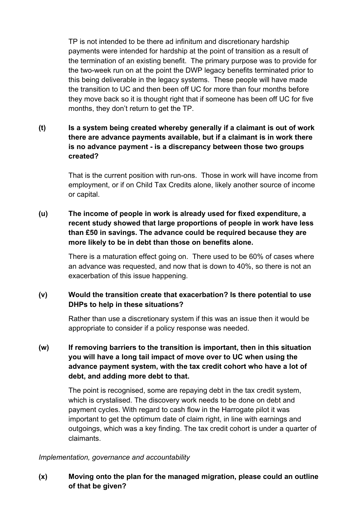TP is not intended to be there ad infinitum and discretionary hardship payments were intended for hardship at the point of transition as a result of the termination of an existing benefit. The primary purpose was to provide for the two-week run on at the point the DWP legacy benefits terminated prior to this being deliverable in the legacy systems. These people will have made the transition to UC and then been off UC for more than four months before they move back so it is thought right that if someone has been off UC for five months, they don't return to get the TP.

## **(t) Is a system being created whereby generally if a claimant is out of work there are advance payments available, but if a claimant is in work there is no advance payment - is a discrepancy between those two groups created?**

That is the current position with run-ons. Those in work will have income from employment, or if on Child Tax Credits alone, likely another source of income or capital.

## **(u) The income of people in work is already used for fixed expenditure, a recent study showed that large proportions of people in work have less than £50 in savings. The advance could be required because they are more likely to be in debt than those on benefits alone.**

There is a maturation effect going on. There used to be 60% of cases where an advance was requested, and now that is down to 40%, so there is not an exacerbation of this issue happening.

### **(v) Would the transition create that exacerbation? Is there potential to use DHPs to help in these situations?**

Rather than use a discretionary system if this was an issue then it would be appropriate to consider if a policy response was needed.

## **(w) If removing barriers to the transition is important, then in this situation you will have a long tail impact of move over to UC when using the advance payment system, with the tax credit cohort who have a lot of debt, and adding more debt to that.**

The point is recognised, some are repaying debt in the tax credit system, which is crystalised. The discovery work needs to be done on debt and payment cycles. With regard to cash flow in the Harrogate pilot it was important to get the optimum date of claim right, in line with earnings and outgoings, which was a key finding. The tax credit cohort is under a quarter of claimants.

#### *Implementation, governance and accountability*

### **(x) Moving onto the plan for the managed migration, please could an outline of that be given?**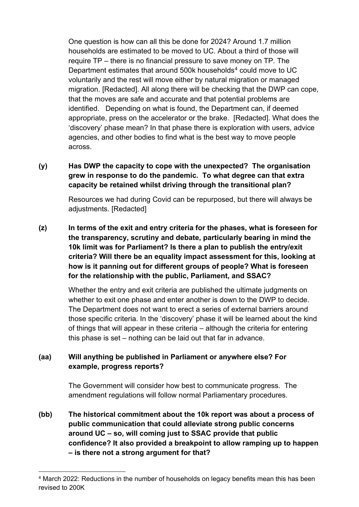One question is how can all this be done for 2024? Around 1.7 million households are estimated to be moved to UC. About a third of those will require TP – there is no financial pressure to save money on TP. The Department estimates that around 500k households<sup>[4](#page-9-0)</sup> could move to UC voluntarily and the rest will move either by natural migration or managed migration. [Redacted]. All along there will be checking that the DWP can cope, that the moves are safe and accurate and that potential problems are identified. Depending on what is found, the Department can, if deemed appropriate, press on the accelerator or the brake. [Redacted]. What does the 'discovery' phase mean? In that phase there is exploration with users, advice agencies, and other bodies to find what is the best way to move people across.

## **(y) Has DWP the capacity to cope with the unexpected? The organisation grew in response to do the pandemic. To what degree can that extra capacity be retained whilst driving through the transitional plan?**

Resources we had during Covid can be repurposed, but there will always be adjustments. [Redacted]

**(z) In terms of the exit and entry criteria for the phases, what is foreseen for the transparency, scrutiny and debate, particularly bearing in mind the 10k limit was for Parliament? Is there a plan to publish the entry/exit criteria? Will there be an equality impact assessment for this, looking at how is it panning out for different groups of people? What is foreseen for the relationship with the public, Parliament, and SSAC?** 

> Whether the entry and exit criteria are published the ultimate judgments on whether to exit one phase and enter another is down to the DWP to decide. The Department does not want to erect a series of external barriers around those specific criteria. In the 'discovery' phase it will be learned about the kind of things that will appear in these criteria – although the criteria for entering this phase is set – nothing can be laid out that far in advance.

### **(aa) Will anything be published in Parliament or anywhere else? For example, progress reports?**

The Government will consider how best to communicate progress. The amendment regulations will follow normal Parliamentary procedures.

**(bb) The historical commitment about the 10k report was about a process of public communication that could alleviate strong public concerns around UC – so, will coming just to SSAC provide that public confidence? It also provided a breakpoint to allow ramping up to happen – is there not a strong argument for that?** 

<span id="page-9-0"></span><sup>4</sup> March 2022: Reductions in the number of households on legacy benefits mean this has been revised to 200K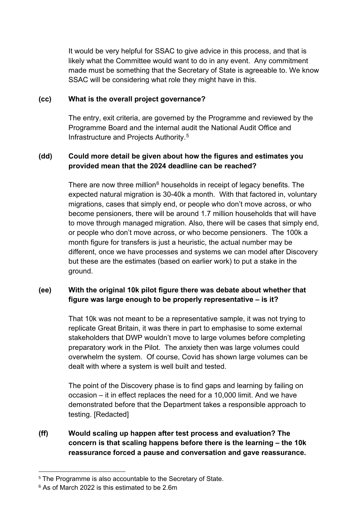It would be very helpful for SSAC to give advice in this process, and that is likely what the Committee would want to do in any event. Any commitment made must be something that the Secretary of State is agreeable to. We know SSAC will be considering what role they might have in this.

#### **(cc) What is the overall project governance?**

The entry, exit criteria, are governed by the Programme and reviewed by the Programme Board and the internal audit the National Audit Office and Infrastructure and Projects Authority. [5](#page-10-0)

#### **(dd) Could more detail be given about how the figures and estimates you provided mean that the 2024 deadline can be reached?**

There are now three million $6$  households in receipt of legacy benefits. The expected natural migration is 30-40k a month. With that factored in, voluntary migrations, cases that simply end, or people who don't move across, or who become pensioners, there will be around 1.7 million households that will have to move through managed migration. Also, there will be cases that simply end, or people who don't move across, or who become pensioners. The 100k a month figure for transfers is just a heuristic, the actual number may be different, once we have processes and systems we can model after Discovery but these are the estimates (based on earlier work) to put a stake in the ground.

### **(ee) With the original 10k pilot figure there was debate about whether that figure was large enough to be properly representative – is it?**

That 10k was not meant to be a representative sample, it was not trying to replicate Great Britain, it was there in part to emphasise to some external stakeholders that DWP wouldn't move to large volumes before completing preparatory work in the Pilot. The anxiety then was large volumes could overwhelm the system. Of course, Covid has shown large volumes can be dealt with where a system is well built and tested.

The point of the Discovery phase is to find gaps and learning by failing on occasion – it in effect replaces the need for a 10,000 limit. And we have demonstrated before that the Department takes a responsible approach to testing. [Redacted]

**(ff) Would scaling up happen after test process and evaluation? The concern is that scaling happens before there is the learning – the 10k reassurance forced a pause and conversation and gave reassurance.** 

<span id="page-10-0"></span><sup>&</sup>lt;sup>5</sup> The Programme is also accountable to the Secretary of State.

<span id="page-10-1"></span><sup>6</sup> As of March 2022 is this estimated to be 2.6m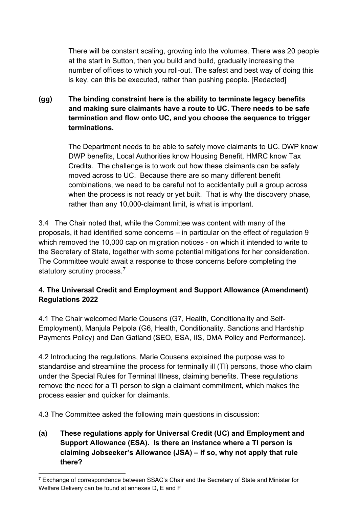There will be constant scaling, growing into the volumes. There was 20 people at the start in Sutton, then you build and build, gradually increasing the number of offices to which you roll-out. The safest and best way of doing this is key, can this be executed, rather than pushing people. [Redacted]

## **(gg) The binding constraint here is the ability to terminate legacy benefits and making sure claimants have a route to UC. There needs to be safe termination and flow onto UC, and you choose the sequence to trigger terminations.**

The Department needs to be able to safely move claimants to UC. DWP know DWP benefits, Local Authorities know Housing Benefit, HMRC know Tax Credits. The challenge is to work out how these claimants can be safely moved across to UC. Because there are so many different benefit combinations, we need to be careful not to accidentally pull a group across when the process is not ready or yet built. That is why the discovery phase, rather than any 10,000-claimant limit, is what is important.

3.4 The Chair noted that, while the Committee was content with many of the proposals, it had identified some concerns – in particular on the effect of regulation 9 which removed the 10,000 cap on migration notices - on which it intended to write to the Secretary of State, together with some potential mitigations for her consideration. The Committee would await a response to those concerns before completing the statutory scrutiny process.<sup>[7](#page-11-0)</sup>

## **4. The Universal Credit and Employment and Support Allowance (Amendment) Regulations 2022**

4.1 The Chair welcomed Marie Cousens (G7, Health, Conditionality and Self-Employment), Manjula Pelpola (G6, Health, Conditionality, Sanctions and Hardship Payments Policy) and Dan Gatland (SEO, ESA, IIS, DMA Policy and Performance).

4.2 Introducing the regulations, Marie Cousens explained the purpose was to standardise and streamline the process for terminally ill (TI) persons, those who claim under the Special Rules for Terminal Illness, claiming benefits. These regulations remove the need for a TI person to sign a claimant commitment, which makes the process easier and quicker for claimants.

4.3 The Committee asked the following main questions in discussion:

**(a) These regulations apply for Universal Credit (UC) and Employment and Support Allowance (ESA). Is there an instance where a TI person is claiming Jobseeker's Allowance (JSA) – if so, why not apply that rule there?** 

<span id="page-11-0"></span> $7$  Exchange of correspondence between SSAC's Chair and the Secretary of State and Minister for Welfare Delivery can be found at annexes D, E and F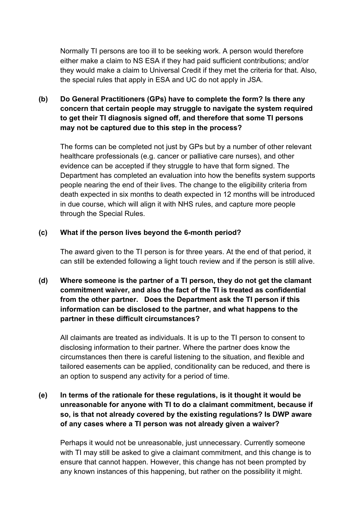Normally TI persons are too ill to be seeking work. A person would therefore either make a claim to NS ESA if they had paid sufficient contributions; and/or they would make a claim to Universal Credit if they met the criteria for that. Also, the special rules that apply in ESA and UC do not apply in JSA.

## **(b) Do General Practitioners (GPs) have to complete the form? Is there any concern that certain people may struggle to navigate the system required to get their TI diagnosis signed off, and therefore that some TI persons may not be captured due to this step in the process?**

The forms can be completed not just by GPs but by a number of other relevant healthcare professionals (e.g. cancer or palliative care nurses), and other evidence can be accepted if they struggle to have that form signed. The Department has completed an evaluation into how the benefits system supports people nearing the end of their lives. The change to the eligibility criteria from death expected in six months to death expected in 12 months will be introduced in due course, which will align it with NHS rules, and capture more people through the Special Rules.

#### **(c) What if the person lives beyond the 6-month period?**

The award given to the TI person is for three years. At the end of that period, it can still be extended following a light touch review and if the person is still alive.

## **(d) Where someone is the partner of a TI person, they do not get the clamant commitment waiver, and also the fact of the TI is treated as confidential from the other partner. Does the Department ask the TI person if this information can be disclosed to the partner, and what happens to the partner in these difficult circumstances?**

All claimants are treated as individuals. It is up to the TI person to consent to disclosing information to their partner. Where the partner does know the circumstances then there is careful listening to the situation, and flexible and tailored easements can be applied, conditionality can be reduced, and there is an option to suspend any activity for a period of time.

## **(e) In terms of the rationale for these regulations, is it thought it would be unreasonable for anyone with TI to do a claimant commitment, because if so, is that not already covered by the existing regulations? Is DWP aware of any cases where a TI person was not already given a waiver?**

Perhaps it would not be unreasonable, just unnecessary. Currently someone with TI may still be asked to give a claimant commitment, and this change is to ensure that cannot happen. However, this change has not been prompted by any known instances of this happening, but rather on the possibility it might.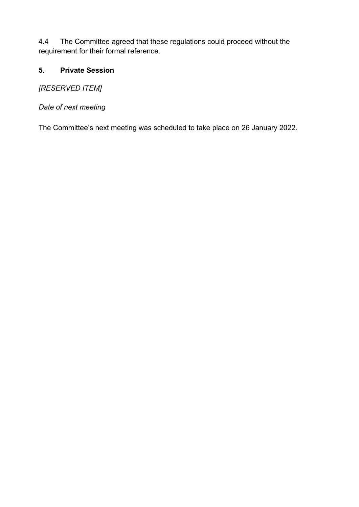4.4 The Committee agreed that these regulations could proceed without the requirement for their formal reference.

## **5. Private Session**

*[RESERVED ITEM]*

*Date of next meeting*

The Committee's next meeting was scheduled to take place on 26 January 2022.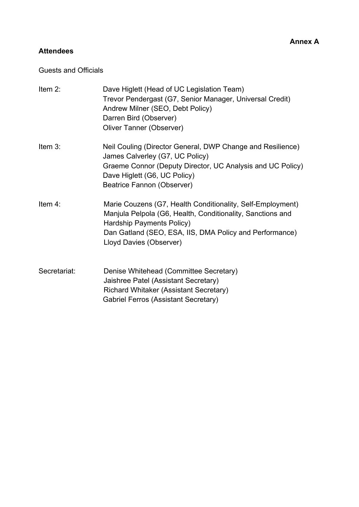# **Attendees**

### Guests and Officials

| Item $2$ :   | Dave Higlett (Head of UC Legislation Team)<br>Trevor Pendergast (G7, Senior Manager, Universal Credit)<br>Andrew Milner (SEO, Debt Policy)<br>Darren Bird (Observer)<br>Oliver Tanner (Observer)                                            |
|--------------|---------------------------------------------------------------------------------------------------------------------------------------------------------------------------------------------------------------------------------------------|
| Item 3:      | Neil Couling (Director General, DWP Change and Resilience)<br>James Calverley (G7, UC Policy)<br>Graeme Connor (Deputy Director, UC Analysis and UC Policy)<br>Dave Higlett (G6, UC Policy)<br>Beatrice Fannon (Observer)                   |
| Item 4:      | Marie Couzens (G7, Health Conditionality, Self-Employment)<br>Manjula Pelpola (G6, Health, Conditionality, Sanctions and<br>Hardship Payments Policy)<br>Dan Gatland (SEO, ESA, IIS, DMA Policy and Performance)<br>Lloyd Davies (Observer) |
| Secretariat: | Denise Whitehead (Committee Secretary)<br>Jaishree Patel (Assistant Secretary)<br>Richard Whitaker (Assistant Secretary)<br><b>Gabriel Ferros (Assistant Secretary)</b>                                                                     |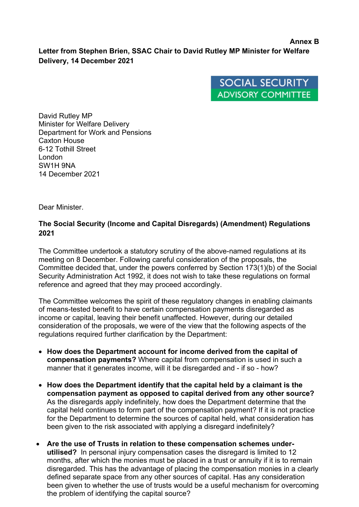#### **Annex B Letter from Stephen Brien, SSAC Chair to David Rutley MP Minister for Welfare Delivery, 14 December 2021**



David Rutley MP Minister for Welfare Delivery Department for Work and Pensions Caxton House 6-12 Tothill Street London SW1H 9NA 14 December 2021

Dear Minister.

#### **The Social Security (Income and Capital Disregards) (Amendment) Regulations 2021**

The Committee undertook a statutory scrutiny of the above-named regulations at its meeting on 8 December. Following careful consideration of the proposals, the Committee decided that, under the powers conferred by Section 173(1)(b) of the Social Security Administration Act 1992, it does not wish to take these regulations on formal reference and agreed that they may proceed accordingly.

The Committee welcomes the spirit of these regulatory changes in enabling claimants of means-tested benefit to have certain compensation payments disregarded as income or capital, leaving their benefit unaffected. However, during our detailed consideration of the proposals, we were of the view that the following aspects of the regulations required further clarification by the Department:

- **How does the Department account for income derived from the capital of compensation payments?** Where capital from compensation is used in such a manner that it generates income, will it be disregarded and - if so - how?
- **How does the Department identify that the capital held by a claimant is the compensation payment as opposed to capital derived from any other source?**  As the disregards apply indefinitely, how does the Department determine that the capital held continues to form part of the compensation payment? If it is not practice for the Department to determine the sources of capital held, what consideration has been given to the risk associated with applying a disregard indefinitely?
- **Are the use of Trusts in relation to these compensation schemes underutilised?** In personal injury compensation cases the disregard is limited to 12 months, after which the monies must be placed in a trust or annuity if it is to remain disregarded. This has the advantage of placing the compensation monies in a clearly defined separate space from any other sources of capital. Has any consideration been given to whether the use of trusts would be a useful mechanism for overcoming the problem of identifying the capital source?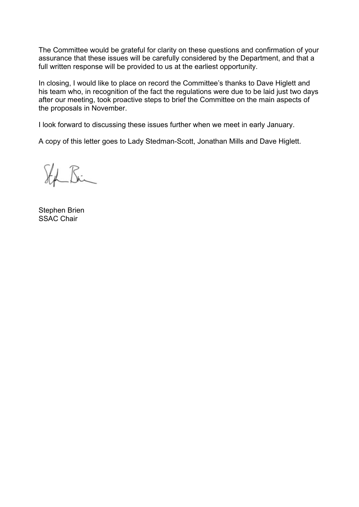The Committee would be grateful for clarity on these questions and confirmation of your assurance that these issues will be carefully considered by the Department, and that a full written response will be provided to us at the earliest opportunity.

In closing, I would like to place on record the Committee's thanks to Dave Higlett and his team who, in recognition of the fact the regulations were due to be laid just two days after our meeting, took proactive steps to brief the Committee on the main aspects of the proposals in November.

I look forward to discussing these issues further when we meet in early January.

A copy of this letter goes to Lady Stedman-Scott, Jonathan Mills and Dave Higlett.

 $K_{\cdot}$ 

Stephen Brien SSAC Chair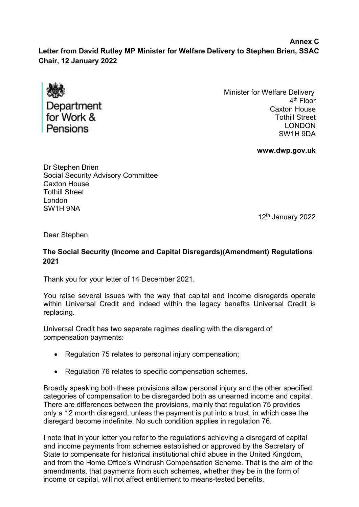**Annex C Letter from David Rutley MP Minister for Welfare Delivery to Stephen Brien, SSAC Chair, 12 January 2022**



Minister for Welfare Delivery 4<sup>th</sup> Floor Caxton House Tothill Street LONDON SW1H 9DA

**[www.dwp.gov.uk](http://www.dwp.gov.uk/)**

Dr Stephen Brien Social Security Advisory Committee Caxton House Tothill Street London SW1H 9NA

12<sup>th</sup> January 2022

Dear Stephen,

#### **The Social Security (Income and Capital Disregards)(Amendment) Regulations 2021**

Thank you for your letter of 14 December 2021.

You raise several issues with the way that capital and income disregards operate within Universal Credit and indeed within the legacy benefits Universal Credit is replacing.

Universal Credit has two separate regimes dealing with the disregard of compensation payments:

- Regulation 75 relates to personal injury compensation:
- Regulation 76 relates to specific compensation schemes.

Broadly speaking both these provisions allow personal injury and the other specified categories of compensation to be disregarded both as unearned income and capital. There are differences between the provisions, mainly that regulation 75 provides only a 12 month disregard, unless the payment is put into a trust, in which case the disregard become indefinite. No such condition applies in regulation 76.

I note that in your letter you refer to the regulations achieving a disregard of capital and income payments from schemes established or approved by the Secretary of State to compensate for historical institutional child abuse in the United Kingdom, and from the Home Office's Windrush Compensation Scheme. That is the aim of the amendments, that payments from such schemes, whether they be in the form of income or capital, will not affect entitlement to means-tested benefits.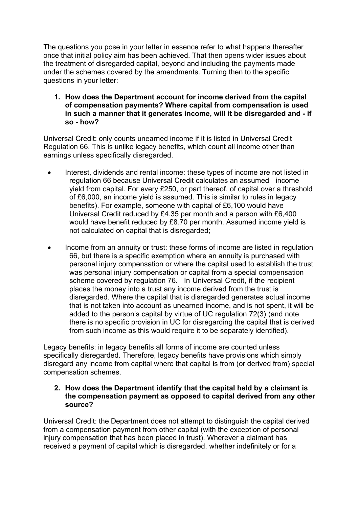The questions you pose in your letter in essence refer to what happens thereafter once that initial policy aim has been achieved. That then opens wider issues about the treatment of disregarded capital, beyond and including the payments made under the schemes covered by the amendments. Turning then to the specific questions in your letter:

**1. How does the Department account for income derived from the capital of compensation payments? Where capital from compensation is used in such a manner that it generates income, will it be disregarded and - if so - how?**

Universal Credit: only counts unearned income if it is listed in Universal Credit Regulation 66. This is unlike legacy benefits, which count all income other than earnings unless specifically disregarded.

- Interest, dividends and rental income: these types of income are not listed in regulation 66 because Universal Credit calculates an assumed income yield from capital. For every £250, or part thereof, of capital over a threshold of £6,000, an income yield is assumed. This is similar to rules in legacy benefits). For example, someone with capital of £6,100 would have Universal Credit reduced by £4.35 per month and a person with £6,400 would have benefit reduced by £8.70 per month. Assumed income yield is not calculated on capital that is disregarded;
- Income from an annuity or trust: these forms of income are listed in regulation 66, but there is a specific exemption where an annuity is purchased with personal injury compensation or where the capital used to establish the trust was personal injury compensation or capital from a special compensation scheme covered by regulation 76. In Universal Credit, if the recipient places the money into a trust any income derived from the trust is disregarded. Where the capital that is disregarded generates actual income that is not taken into account as unearned income, and is not spent, it will be added to the person's capital by virtue of UC regulation 72(3) (and note there is no specific provision in UC for disregarding the capital that is derived from such income as this would require it to be separately identified).

Legacy benefits: in legacy benefits all forms of income are counted unless specifically disregarded. Therefore, legacy benefits have provisions which simply disregard any income from capital where that capital is from (or derived from) special compensation schemes.

#### **2. How does the Department identify that the capital held by a claimant is the compensation payment as opposed to capital derived from any other source?**

Universal Credit: the Department does not attempt to distinguish the capital derived from a compensation payment from other capital (with the exception of personal injury compensation that has been placed in trust). Wherever a claimant has received a payment of capital which is disregarded, whether indefinitely or for a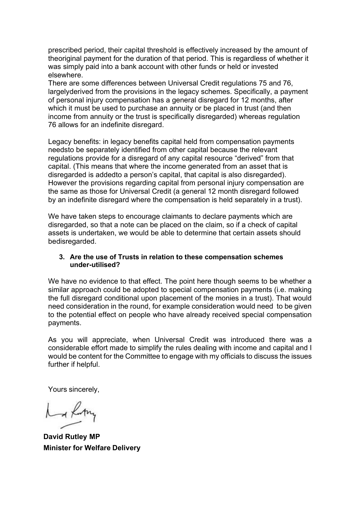prescribed period, their capital threshold is effectively increased by the amount of theoriginal payment for the duration of that period. This is regardless of whether it was simply paid into a bank account with other funds or held or invested elsewhere.

There are some differences between Universal Credit regulations 75 and 76, largelyderived from the provisions in the legacy schemes. Specifically, a payment of personal injury compensation has a general disregard for 12 months, after which it must be used to purchase an annuity or be placed in trust (and then income from annuity or the trust is specifically disregarded) whereas regulation 76 allows for an indefinite disregard.

Legacy benefits: in legacy benefits capital held from compensation payments needsto be separately identified from other capital because the relevant regulations provide for a disregard of any capital resource "derived" from that capital. (This means that where the income generated from an asset that is disregarded is addedto a person's capital, that capital is also disregarded). However the provisions regarding capital from personal injury compensation are the same as those for Universal Credit (a general 12 month disregard followed by an indefinite disregard where the compensation is held separately in a trust).

We have taken steps to encourage claimants to declare payments which are disregarded, so that a note can be placed on the claim, so if a check of capital assets is undertaken, we would be able to determine that certain assets should bedisregarded.

#### **3. Are the use of Trusts in relation to these compensation schemes under- utilised?**

We have no evidence to that effect. The point here though seems to be whether a similar approach could be adopted to special compensation payments (i.e. making the full disregard conditional upon placement of the monies in a trust). That would need consideration in the round, for example consideration would need to be given to the potential effect on people who have already received special compensation payments.

As you will appreciate, when Universal Credit was introduced there was a considerable effort made to simplify the rules dealing with income and capital and I would be content for the Committee to engage with my officials to discuss the issues further if helpful.

Yours sincerely,

La Lorry

**David Rutley MP Minister for Welfare Delivery**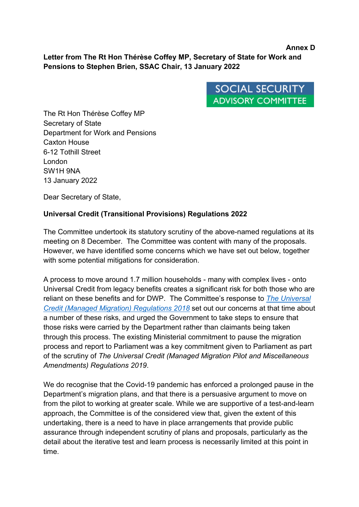**Letter from The Rt Hon Thérèse Coffey MP, Secretary of State for Work and Pensions to Stephen Brien, SSAC Chair, 13 January 2022**



**Annex D**

The Rt Hon Thérèse Coffey MP Secretary of State Department for Work and Pensions Caxton House 6-12 Tothill Street London SW1H 9NA 13 January 2022

Dear Secretary of State,

### **Universal Credit (Transitional Provisions) Regulations 2022**

The Committee undertook its statutory scrutiny of the above-named regulations at its meeting on 8 December. The Committee was content with many of the proposals. However, we have identified some concerns which we have set out below, together with some potential mitigations for consideration.

A process to move around 1.7 million households - many with complex lives - onto Universal Credit from legacy benefits creates a significant risk for both those who are reliant on these benefits and for DWP. The Committee's response to *[The Universal](https://www.gov.uk/government/publications/draft-universal-credit-managed-migration-regulations-2018-ssac-report-and-government-statement)  [Credit \(Managed Migration\) Regulations 2018](https://www.gov.uk/government/publications/draft-universal-credit-managed-migration-regulations-2018-ssac-report-and-government-statement)* set out our concerns at that time about a number of these risks, and urged the Government to take steps to ensure that those risks were carried by the Department rather than claimants being taken through this process. The existing Ministerial commitment to pause the migration process and report to Parliament was a key commitment given to Parliament as part of the scrutiny of *The Universal Credit (Managed Migration Pilot and Miscellaneous Amendments) Regulations 2019*.

We do recognise that the Covid-19 pandemic has enforced a prolonged pause in the Department's migration plans, and that there is a persuasive argument to move on from the pilot to working at greater scale. While we are supportive of a test-and-learn approach, the Committee is of the considered view that, given the extent of this undertaking, there is a need to have in place arrangements that provide public assurance through independent scrutiny of plans and proposals, particularly as the detail about the iterative test and learn process is necessarily limited at this point in time.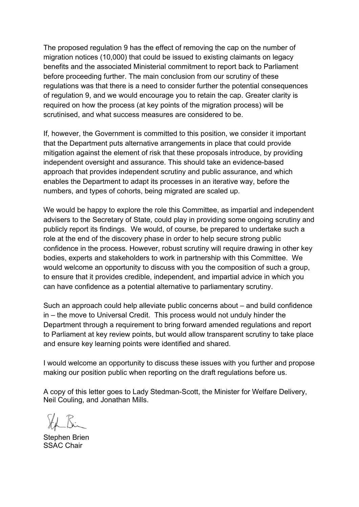The proposed regulation 9 has the effect of removing the cap on the number of migration notices (10,000) that could be issued to existing claimants on legacy benefits and the associated Ministerial commitment to report back to Parliament before proceeding further. The main conclusion from our scrutiny of these regulations was that there is a need to consider further the potential consequences of regulation 9, and we would encourage you to retain the cap. Greater clarity is required on how the process (at key points of the migration process) will be scrutinised, and what success measures are considered to be.

If, however, the Government is committed to this position, we consider it important that the Department puts alternative arrangements in place that could provide mitigation against the element of risk that these proposals introduce, by providing independent oversight and assurance. This should take an evidence-based approach that provides independent scrutiny and public assurance, and which enables the Department to adapt its processes in an iterative way, before the numbers, and types of cohorts, being migrated are scaled up.

We would be happy to explore the role this Committee, as impartial and independent advisers to the Secretary of State, could play in providing some ongoing scrutiny and publicly report its findings. We would, of course, be prepared to undertake such a role at the end of the discovery phase in order to help secure strong public confidence in the process. However, robust scrutiny will require drawing in other key bodies, experts and stakeholders to work in partnership with this Committee. We would welcome an opportunity to discuss with you the composition of such a group, to ensure that it provides credible, independent, and impartial advice in which you can have confidence as a potential alternative to parliamentary scrutiny.

Such an approach could help alleviate public concerns about – and build confidence in – the move to Universal Credit. This process would not unduly hinder the Department through a requirement to bring forward amended regulations and report to Parliament at key review points, but would allow transparent scrutiny to take place and ensure key learning points were identified and shared.

I would welcome an opportunity to discuss these issues with you further and propose making our position public when reporting on the draft regulations before us.

A copy of this letter goes to Lady Stedman-Scott, the Minister for Welfare Delivery, Neil Couling, and Jonathan Mills.

Stephen Brien SSAC Chair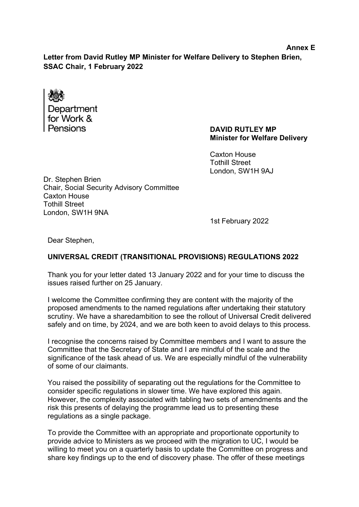**Letter from David Rutley MP Minister for Welfare Delivery to Stephen Brien, SSAC Chair, 1 February 2022**

Department for Work & Pensions

#### **DAVID RUTLEY MP Minister for Welfare Delivery**

Caxton House Tothill Street London, SW1H 9AJ

Dr. Stephen Brien Chair, Social Security Advisory Committee Caxton House Tothill Street London, SW1H 9NA

1st February 2022

Dear Stephen,

#### **UNIVERSAL CREDIT (TRANSITIONAL PROVISIONS) REGULATIONS 2022**

Thank you for your letter dated 13 January 2022 and for your time to discuss the issues raised further on 25 January.

I welcome the Committee confirming they are content with the majority of the proposed amendments to the named regulations after undertaking their statutory scrutiny. We have a sharedambition to see the rollout of Universal Credit delivered safely and on time, by 2024, and we are both keen to avoid delays to this process.

I recognise the concerns raised by Committee members and I want to assure the Committee that the Secretary of State and I are mindful of the scale and the significance of the task ahead of us. We are especially mindful of the vulnerability of some of our claimants.

You raised the possibility of separating out the regulations for the Committee to consider specific regulations in slower time. We have explored this again. However, the complexity associated with tabling two sets of amendments and the risk this presents of delaying the programme lead us to presenting these regulations as a single package.

To provide the Committee with an appropriate and proportionate opportunity to provide advice to Ministers as we proceed with the migration to UC, I would be willing to meet you on a quarterly basis to update the Committee on progress and share key findings up to the end of discovery phase. The offer of these meetings

#### **Annex E**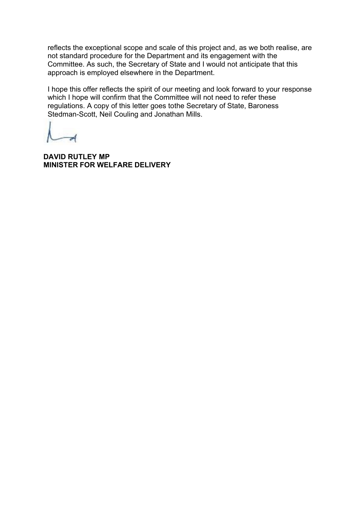reflects the exceptional scope and scale of this project and, as we both realise, are not standard procedure for the Department and its engagement with the Committee. As such, the Secretary of State and I would not anticipate that this approach is employed elsewhere in the Department.

I hope this offer reflects the spirit of our meeting and look forward to your response which I hope will confirm that the Committee will not need to refer these regulations. A copy of this letter goes tothe Secretary of State, Baroness Stedman-Scott, Neil Couling and Jonathan Mills.

**DAVID RUTLEY MP MINISTER FOR WELFARE DELIVERY**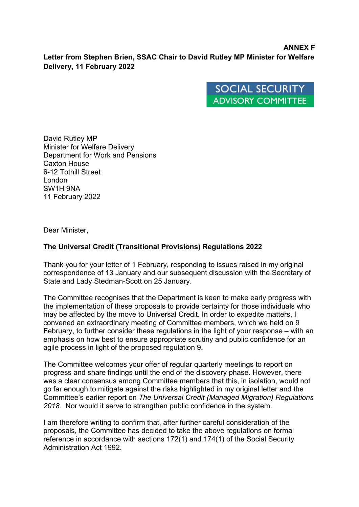#### **ANNEX F Letter from Stephen Brien, SSAC Chair to David Rutley MP Minister for Welfare Delivery, 11 February 2022**

**SOCIAL SECURITY ADVISORY COMMITTEE** 

David Rutley MP Minister for Welfare Delivery Department for Work and Pensions Caxton House 6-12 Tothill Street London SW1H 9NA 11 February 2022

Dear Minister,

#### **The Universal Credit (Transitional Provisions) Regulations 2022**

Thank you for your letter of 1 February, responding to issues raised in my original correspondence of 13 January and our subsequent discussion with the Secretary of State and Lady Stedman-Scott on 25 January.

The Committee recognises that the Department is keen to make early progress with the implementation of these proposals to provide certainty for those individuals who may be affected by the move to Universal Credit. In order to expedite matters, I convened an extraordinary meeting of Committee members, which we held on 9 February, to further consider these regulations in the light of your response – with an emphasis on how best to ensure appropriate scrutiny and public confidence for an agile process in light of the proposed regulation 9.

The Committee welcomes your offer of regular quarterly meetings to report on progress and share findings until the end of the discovery phase. However, there was a clear consensus among Committee members that this, in isolation, would not go far enough to mitigate against the risks highlighted in my original letter and the Committee's earlier report on *The Universal Credit (Managed Migration) Regulations 2018.* Nor would it serve to strengthen public confidence in the system.

I am therefore writing to confirm that, after further careful consideration of the proposals, the Committee has decided to take the above regulations on formal reference in accordance with sections 172(1) and 174(1) of the Social Security Administration Act 1992.